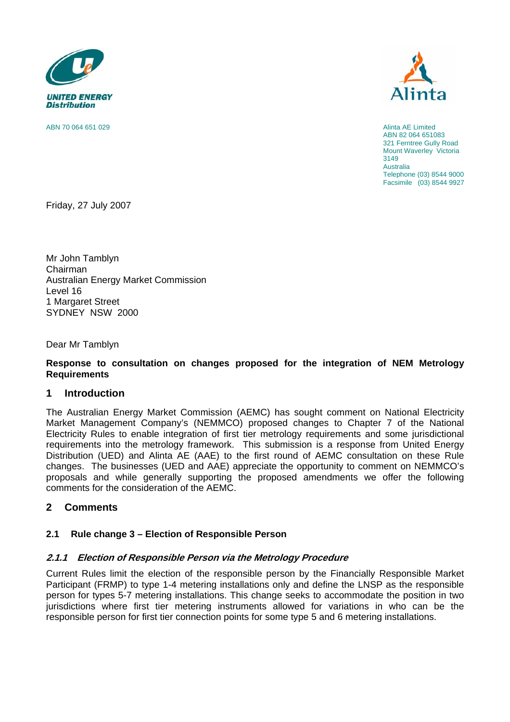

ABN 70 064 651 029 Alinta AE Limited



ABN 82 064 651083 321 Ferntree Gully Road Mount Waverley Victoria 3149 Australia Telephone (03) 8544 9000 Facsimile (03) 8544 9927

Friday, 27 July 2007

Mr John Tamblyn Chairman Australian Energy Market Commission Level 16 1 Margaret Street SYDNEY NSW 2000

Dear Mr Tamblyn

# **Response to consultation on changes proposed for the integration of NEM Metrology Requirements**

# **1 Introduction**

The Australian Energy Market Commission (AEMC) has sought comment on National Electricity Market Management Company's (NEMMCO) proposed changes to Chapter 7 of the National Electricity Rules to enable integration of first tier metrology requirements and some jurisdictional requirements into the metrology framework. This submission is a response from United Energy Distribution (UED) and Alinta AE (AAE) to the first round of AEMC consultation on these Rule changes. The businesses (UED and AAE) appreciate the opportunity to comment on NEMMCO's proposals and while generally supporting the proposed amendments we offer the following comments for the consideration of the AEMC.

# **2 Comments**

# **2.1 Rule change 3 – Election of Responsible Person**

# **2.1.1 Election of Responsible Person via the Metrology Procedure**

Current Rules limit the election of the responsible person by the Financially Responsible Market Participant (FRMP) to type 1-4 metering installations only and define the LNSP as the responsible person for types 5-7 metering installations. This change seeks to accommodate the position in two jurisdictions where first tier metering instruments allowed for variations in who can be the responsible person for first tier connection points for some type 5 and 6 metering installations.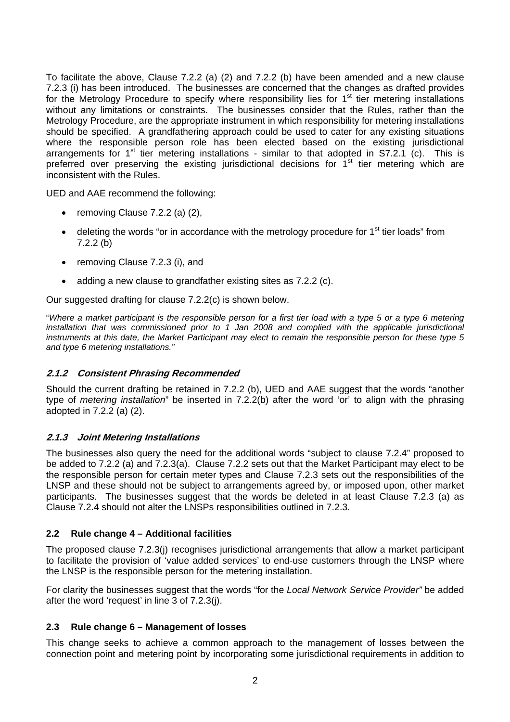To facilitate the above, Clause 7.2.2 (a) (2) and 7.2.2 (b) have been amended and a new clause 7.2.3 (i) has been introduced. The businesses are concerned that the changes as drafted provides for the Metrology Procedure to specify where responsibility lies for  $1<sup>st</sup>$  tier metering installations without any limitations or constraints. The businesses consider that the Rules, rather than the Metrology Procedure, are the appropriate instrument in which responsibility for metering installations should be specified. A grandfathering approach could be used to cater for any existing situations where the responsible person role has been elected based on the existing jurisdictional arrangements for  $1<sup>st</sup>$  tier metering installations - similar to that adopted in S7.2.1 (c). This is preferred over preserving the existing jurisdictional decisions for  $1<sup>st</sup>$  tier metering which are inconsistent with the Rules.

UED and AAE recommend the following:

- removing Clause 7.2.2 (a) (2),
- deleting the words "or in accordance with the metrology procedure for  $1<sup>st</sup>$  tier loads" from 7.2.2 (b)
- removing Clause 7.2.3 (i), and
- adding a new clause to grandfather existing sites as 7.2.2 (c).

Our suggested drafting for clause 7.2.2(c) is shown below.

"*Where a market participant is the responsible person for a first tier load with a type 5 or a type 6 metering installation that was commissioned prior to 1 Jan 2008 and complied with the applicable jurisdictional instruments at this date, the Market Participant may elect to remain the responsible person for these type 5 and type 6 metering installations."* 

# **2.1.2 Consistent Phrasing Recommended**

Should the current drafting be retained in 7.2.2 (b), UED and AAE suggest that the words "another type of *metering installation*" be inserted in 7.2.2(b) after the word 'or' to align with the phrasing adopted in 7.2.2 (a) (2).

# **2.1.3 Joint Metering Installations**

The businesses also query the need for the additional words "subject to clause 7.2.4" proposed to be added to 7.2.2 (a) and 7.2.3(a). Clause 7.2.2 sets out that the Market Participant may elect to be the responsible person for certain meter types and Clause 7.2.3 sets out the responsibilities of the LNSP and these should not be subject to arrangements agreed by, or imposed upon, other market participants. The businesses suggest that the words be deleted in at least Clause 7.2.3 (a) as Clause 7.2.4 should not alter the LNSPs responsibilities outlined in 7.2.3.

# **2.2 Rule change 4 – Additional facilities**

The proposed clause 7.2.3(j) recognises jurisdictional arrangements that allow a market participant to facilitate the provision of 'value added services' to end-use customers through the LNSP where the LNSP is the responsible person for the metering installation.

For clarity the businesses suggest that the words "for the *Local Network Service Provider"* be added after the word 'request' in line 3 of 7.2.3(j).

# **2.3 Rule change 6 – Management of losses**

This change seeks to achieve a common approach to the management of losses between the connection point and metering point by incorporating some jurisdictional requirements in addition to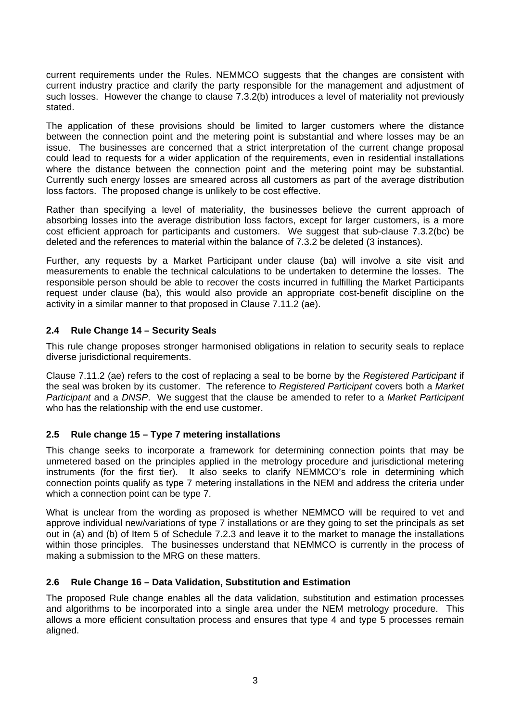current requirements under the Rules. NEMMCO suggests that the changes are consistent with current industry practice and clarify the party responsible for the management and adjustment of such losses. However the change to clause 7.3.2(b) introduces a level of materiality not previously stated.

The application of these provisions should be limited to larger customers where the distance between the connection point and the metering point is substantial and where losses may be an issue. The businesses are concerned that a strict interpretation of the current change proposal could lead to requests for a wider application of the requirements, even in residential installations where the distance between the connection point and the metering point may be substantial. Currently such energy losses are smeared across all customers as part of the average distribution loss factors. The proposed change is unlikely to be cost effective.

Rather than specifying a level of materiality, the businesses believe the current approach of absorbing losses into the average distribution loss factors, except for larger customers, is a more cost efficient approach for participants and customers. We suggest that sub-clause 7.3.2(bc) be deleted and the references to material within the balance of 7.3.2 be deleted (3 instances).

Further, any requests by a Market Participant under clause (ba) will involve a site visit and measurements to enable the technical calculations to be undertaken to determine the losses. The responsible person should be able to recover the costs incurred in fulfilling the Market Participants request under clause (ba), this would also provide an appropriate cost-benefit discipline on the activity in a similar manner to that proposed in Clause 7.11.2 (ae).

# **2.4 Rule Change 14 – Security Seals**

This rule change proposes stronger harmonised obligations in relation to security seals to replace diverse jurisdictional requirements.

Clause 7.11.2 (ae) refers to the cost of replacing a seal to be borne by the *Registered Participant* if the seal was broken by its customer. The reference to *Registered Participant* covers both a *Market Participant* and a *DNSP*. We suggest that the clause be amended to refer to a *Market Participant* who has the relationship with the end use customer.

# **2.5 Rule change 15 – Type 7 metering installations**

This change seeks to incorporate a framework for determining connection points that may be unmetered based on the principles applied in the metrology procedure and jurisdictional metering instruments (for the first tier). It also seeks to clarify NEMMCO's role in determining which connection points qualify as type 7 metering installations in the NEM and address the criteria under which a connection point can be type 7.

What is unclear from the wording as proposed is whether NEMMCO will be required to vet and approve individual new/variations of type 7 installations or are they going to set the principals as set out in (a) and (b) of Item 5 of Schedule 7.2.3 and leave it to the market to manage the installations within those principles. The businesses understand that NEMMCO is currently in the process of making a submission to the MRG on these matters.

# **2.6 Rule Change 16 – Data Validation, Substitution and Estimation**

The proposed Rule change enables all the data validation, substitution and estimation processes and algorithms to be incorporated into a single area under the NEM metrology procedure. This allows a more efficient consultation process and ensures that type 4 and type 5 processes remain aligned.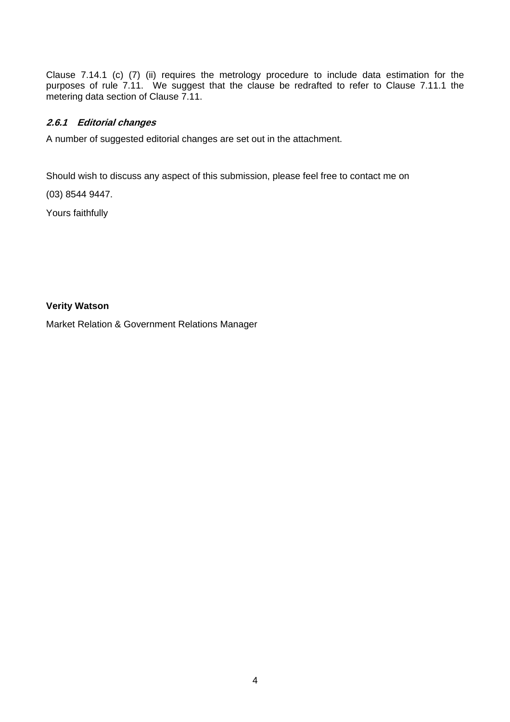Clause 7.14.1 (c) (7) (ii) requires the metrology procedure to include data estimation for the purposes of rule 7.11. We suggest that the clause be redrafted to refer to Clause 7.11.1 the metering data section of Clause 7.11.

# **2.6.1 Editorial changes**

A number of suggested editorial changes are set out in the attachment.

Should wish to discuss any aspect of this submission, please feel free to contact me on

(03) 8544 9447.

Yours faithfully

#### **Verity Watson**

Market Relation & Government Relations Manager